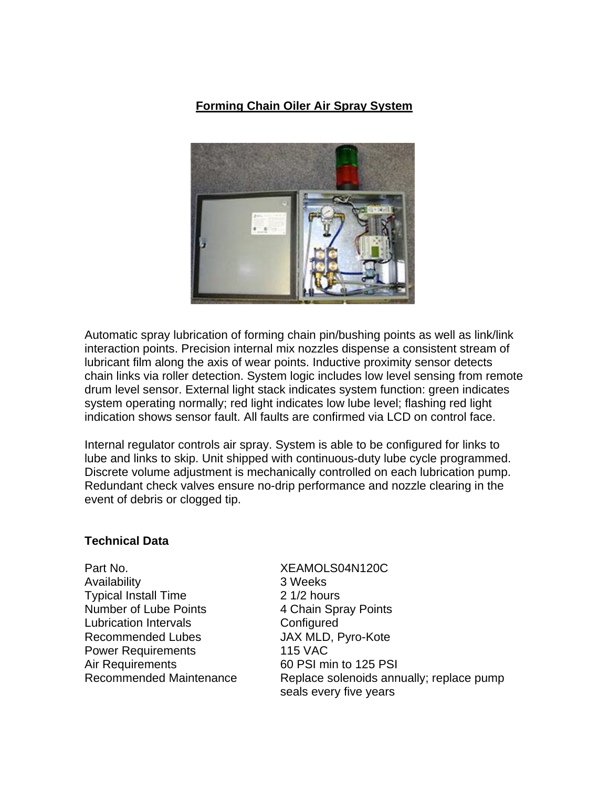## **Forming Chain Oiler Air Spray System**



Automatic spray lubrication of forming chain pin/bushing points as well as link/link interaction points. Precision internal mix nozzles dispense a consistent stream of lubricant film along the axis of wear points. Inductive proximity sensor detects chain links via roller detection. System logic includes low level sensing from remote drum level sensor. External light stack indicates system function: green indicates system operating normally; red light indicates low lube level; flashing red light indication shows sensor fault. All faults are confirmed via LCD on control face.

Internal regulator controls air spray. System is able to be configured for links to lube and links to skip. Unit shipped with continuous-duty lube cycle programmed. Discrete volume adjustment is mechanically controlled on each lubrication pump. Redundant check valves ensure no-drip performance and nozzle clearing in the event of debris or clogged tip.

## **Technical Data**

Part No. XEAMOLS04N120C Availability 3 Weeks Typical Install Time 2 1/2 hours Number of Lube Points 4 Chain Spray Points Lubrication Intervals **Configured** Recommended Lubes JAX MLD, Pyro-Kote Power Requirements 115 VAC Air Requirements 60 PSI min to 125 PSI

Recommended Maintenance Replace solenoids annually; replace pump seals every five years